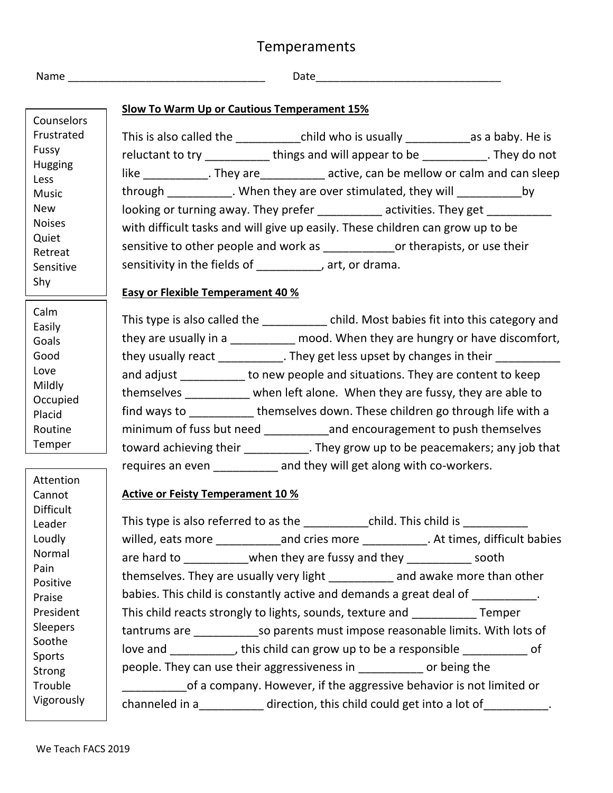## Temperaments

|  | . . |  |
|--|-----|--|

Name \_\_\_\_\_\_\_\_\_\_\_\_\_\_\_\_\_\_\_\_\_\_\_\_\_\_\_\_\_\_\_\_\_ Date\_\_\_\_\_\_\_\_\_\_\_\_\_\_\_\_\_\_\_\_\_\_\_\_\_\_\_\_\_\_\_

|                                      | <b>Slow To Warm Up or Cautious Temperament 15%</b>                                         |  |  |  |  |
|--------------------------------------|--------------------------------------------------------------------------------------------|--|--|--|--|
| Counselors                           |                                                                                            |  |  |  |  |
| Frustrated                           | This is also called the _______________child who is usually ______________as a baby. He is |  |  |  |  |
| Fussy                                | reluctant to try _____________things and will appear to be ___________. They do not        |  |  |  |  |
| Hugging<br>Less                      | like ____________. They are_____________ active, can be mellow or calm and can sleep       |  |  |  |  |
| <b>Music</b>                         | through ___________. When they are over stimulated, they will ___________<br>by            |  |  |  |  |
| <b>New</b>                           | looking or turning away. They prefer __________ activities. They get __________            |  |  |  |  |
| <b>Noises</b>                        | with difficult tasks and will give up easily. These children can grow up to be             |  |  |  |  |
| Quiet<br>Retreat<br>Sensitive<br>Shy | sensitive to other people and work as _______________or therapists, or use their           |  |  |  |  |
|                                      |                                                                                            |  |  |  |  |
|                                      | sensitivity in the fields of __________, art, or drama.                                    |  |  |  |  |
|                                      | <b>Easy or Flexible Temperament 40 %</b>                                                   |  |  |  |  |
| Calm                                 |                                                                                            |  |  |  |  |
| Easily<br>Goals                      | This type is also called the ___________ child. Most babies fit into this category and     |  |  |  |  |
|                                      | they are usually in a __________ mood. When they are hungry or have discomfort,            |  |  |  |  |
| Good                                 | they usually react ___________. They get less upset by changes in their _________          |  |  |  |  |
| Love                                 | and adjust to new people and situations. They are content to keep                          |  |  |  |  |
| Mildly                               | themselves __________ when left alone. When they are fussy, they are able to               |  |  |  |  |
| Occupied                             | find ways to _____________themselves down. These children go through life with a           |  |  |  |  |
| Placid                               |                                                                                            |  |  |  |  |
| Routine<br>Temper                    | minimum of fuss but need ______________and encouragement to push themselves                |  |  |  |  |
|                                      | toward achieving their ___________. They grow up to be peacemakers; any job that           |  |  |  |  |
|                                      | requires an even __________ and they will get along with co-workers.                       |  |  |  |  |
| Attention<br>Cannot                  | <b>Active or Feisty Temperament 10 %</b>                                                   |  |  |  |  |
| <b>Difficult</b>                     |                                                                                            |  |  |  |  |
| Leader                               | This type is also referred to as the ______________ child. This child is ________          |  |  |  |  |
| Loudly                               | willed, eats more ______________and cries more ____________. At times, difficult babies    |  |  |  |  |
| Normal                               | are hard to _____________when they are fussy and they _____________ sooth                  |  |  |  |  |
| Pain                                 | themselves. They are usually very light ___________ and awake more than other              |  |  |  |  |
| Positive                             |                                                                                            |  |  |  |  |
| Praise                               | babies. This child is constantly active and demands a great deal of                        |  |  |  |  |
| President<br>Sleepers                | This child reacts strongly to lights, sounds, texture and ____________ Temper              |  |  |  |  |
| Soothe                               | tantrums are __________________so parents must impose reasonable limits. With lots of      |  |  |  |  |
| Sports                               | love and __________, this child can grow up to be a responsible __________ of              |  |  |  |  |
| Strong                               | people. They can use their aggressiveness in ___________ or being the                      |  |  |  |  |
| Trouble                              | of a company. However, if the aggressive behavior is not limited or                        |  |  |  |  |
| Vigorously                           | channeled in a____________ direction, this child could get into a lot of                   |  |  |  |  |